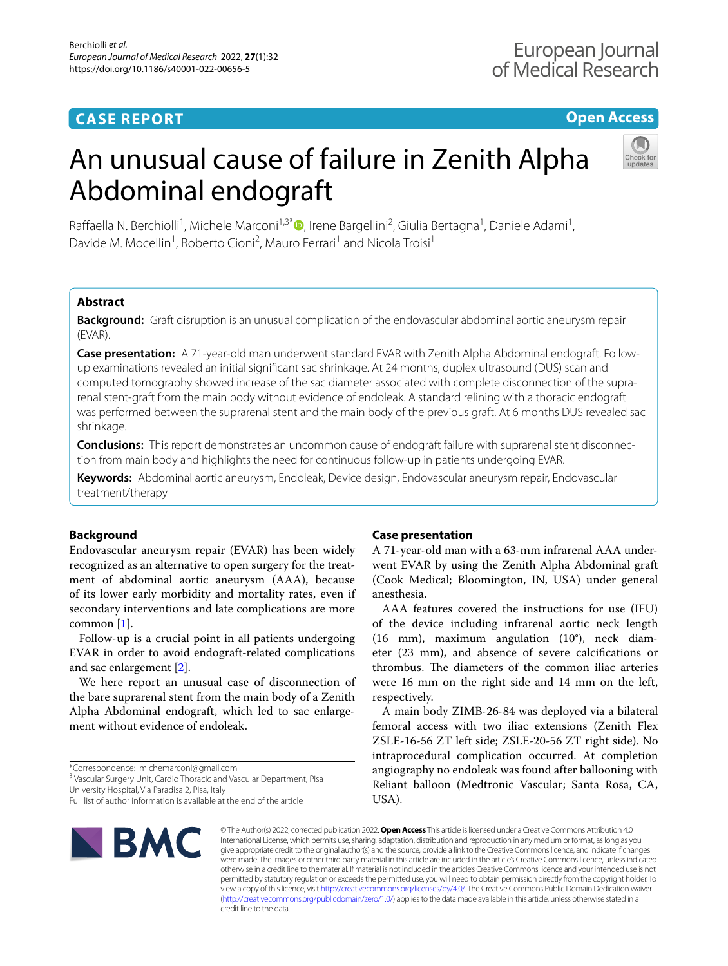# **CASE REPORT**

# **Open Access**

# An unusual cause of failure in Zenith Alpha Abdominal endograft



Raffaella N. Berchiolli<sup>1</sup>[,](http://orcid.org/0000-0002-3291-5059) Michele Marconi<sup>1,3\*</sup>®, Irene Bargellini<sup>2</sup>, Giulia Bertagna<sup>1</sup>, Daniele Adami<sup>1</sup>, Davide M. Mocellin<sup>1</sup>, Roberto Cioni<sup>2</sup>, Mauro Ferrari<sup>1</sup> and Nicola Troisi<sup>1</sup>

# **Abstract**

**Background:** Graft disruption is an unusual complication of the endovascular abdominal aortic aneurysm repair (EVAR).

**Case presentation:** A 71-year-old man underwent standard EVAR with Zenith Alpha Abdominal endograft. Followup examinations revealed an initial signifcant sac shrinkage. At 24 months, duplex ultrasound (DUS) scan and computed tomography showed increase of the sac diameter associated with complete disconnection of the suprarenal stent-graft from the main body without evidence of endoleak. A standard relining with a thoracic endograft was performed between the suprarenal stent and the main body of the previous graft. At 6 months DUS revealed sac shrinkage.

**Conclusions:** This report demonstrates an uncommon cause of endograft failure with suprarenal stent disconnection from main body and highlights the need for continuous follow-up in patients undergoing EVAR.

**Keywords:** Abdominal aortic aneurysm, Endoleak, Device design, Endovascular aneurysm repair, Endovascular treatment/therapy

## **Background**

Endovascular aneurysm repair (EVAR) has been widely recognized as an alternative to open surgery for the treatment of abdominal aortic aneurysm (AAA), because of its lower early morbidity and mortality rates, even if secondary interventions and late complications are more common [[1\]](#page-2-0).

Follow-up is a crucial point in all patients undergoing EVAR in order to avoid endograft-related complications and sac enlargement [[2\]](#page-2-1).

We here report an unusual case of disconnection of the bare suprarenal stent from the main body of a Zenith Alpha Abdominal endograft, which led to sac enlargement without evidence of endoleak.

<sup>3</sup> Vascular Surgery Unit, Cardio Thoracic and Vascular Department, Pisa

University Hospital, Via Paradisa 2, Pisa, Italy

### **Case presentation**

A 71-year-old man with a 63-mm infrarenal AAA underwent EVAR by using the Zenith Alpha Abdominal graft (Cook Medical; Bloomington, IN, USA) under general anesthesia.

AAA features covered the instructions for use (IFU) of the device including infrarenal aortic neck length (16 mm), maximum angulation (10°), neck diameter (23 mm), and absence of severe calcifcations or thrombus. The diameters of the common iliac arteries were 16 mm on the right side and 14 mm on the left, respectively.

A main body ZIMB-26-84 was deployed via a bilateral femoral access with two iliac extensions (Zenith Flex ZSLE-16-56 ZT left side; ZSLE-20-56 ZT right side). No intraprocedural complication occurred. At completion angiography no endoleak was found after ballooning with Reliant balloon (Medtronic Vascular; Santa Rosa, CA, USA).



© The Author(s) 2022, corrected publication 2022. **Open Access** This article is licensed under a Creative Commons Attribution 4.0 International License, which permits use, sharing, adaptation, distribution and reproduction in any medium or format, as long as you give appropriate credit to the original author(s) and the source, provide a link to the Creative Commons licence, and indicate if changes were made. The images or other third party material in this article are included in the article's Creative Commons licence, unless indicated otherwise in a credit line to the material. If material is not included in the article's Creative Commons licence and your intended use is not permitted by statutory regulation or exceeds the permitted use, you will need to obtain permission directly from the copyright holder. To view a copy of this licence, visit [http://creativecommons.org/licenses/by/4.0/.](http://creativecommons.org/licenses/by/4.0/) The Creative Commons Public Domain Dedication waiver [\(http://creativecommons.org/publicdomain/zero/1.0/\)](http://creativecommons.org/publicdomain/zero/1.0/) applies to the data made available in this article, unless otherwise stated in a credit line to the data.

<sup>\*</sup>Correspondence: michemarconi@gmail.com

Full list of author information is available at the end of the article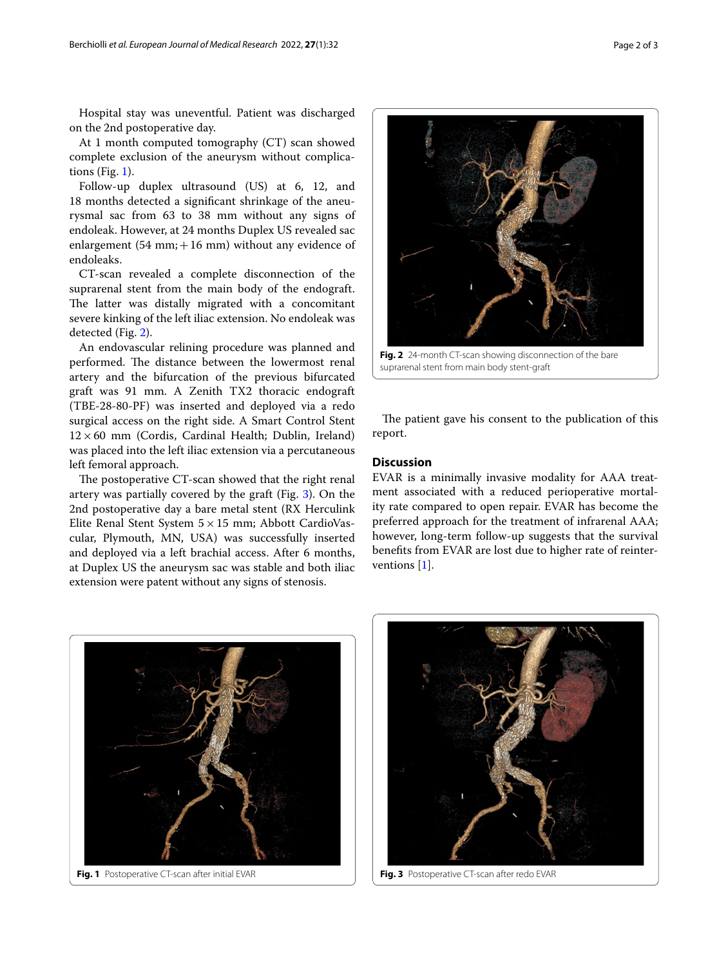Hospital stay was uneventful. Patient was discharged on the 2nd postoperative day.

At 1 month computed tomography (CT) scan showed complete exclusion of the aneurysm without complications (Fig. [1\)](#page-1-0).

Follow-up duplex ultrasound (US) at 6, 12, and 18 months detected a signifcant shrinkage of the aneurysmal sac from 63 to 38 mm without any signs of endoleak. However, at 24 months Duplex US revealed sac enlargement (54 mm;  $+16$  mm) without any evidence of endoleaks.

CT-scan revealed a complete disconnection of the suprarenal stent from the main body of the endograft. The latter was distally migrated with a concomitant severe kinking of the left iliac extension. No endoleak was detected (Fig. [2](#page-1-1)).

An endovascular relining procedure was planned and performed. The distance between the lowermost renal artery and the bifurcation of the previous bifurcated graft was 91 mm. A Zenith TX2 thoracic endograft (TBE-28-80-PF) was inserted and deployed via a redo surgical access on the right side. A Smart Control Stent  $12\times60$  mm (Cordis, Cardinal Health; Dublin, Ireland) was placed into the left iliac extension via a percutaneous left femoral approach.

The postoperative CT-scan showed that the right renal artery was partially covered by the graft (Fig. [3\)](#page-1-2). On the 2nd postoperative day a bare metal stent (RX Herculink Elite Renal Stent System  $5 \times 15$  mm; Abbott CardioVascular, Plymouth, MN, USA) was successfully inserted and deployed via a left brachial access. After 6 months, at Duplex US the aneurysm sac was stable and both iliac extension were patent without any signs of stenosis.



<span id="page-1-1"></span>The patient gave his consent to the publication of this report.

#### **Discussion**

EVAR is a minimally invasive modality for AAA treatment associated with a reduced perioperative mortality rate compared to open repair. EVAR has become the preferred approach for the treatment of infrarenal AAA; however, long-term follow-up suggests that the survival benefts from EVAR are lost due to higher rate of reinterventions [[1\]](#page-2-0).

<span id="page-1-0"></span>

<span id="page-1-2"></span>